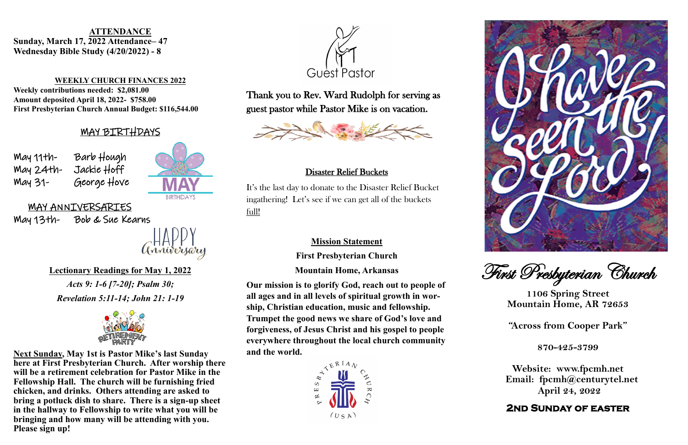Lorem ipsum dolor sit amet, consectetur adipiscing elit, sed do May 11th- Barb Hough enim addition venir ad minim venir venir venir venir venir venir venir venir venir venir venir venir venir ven<br>Orientation ullamatication venir venir venir venir venir venir venir venir venir venir venir venir venir venir  $M$ ay 24th- Jackie Hoff $\overline{\phantom{a}}$  $M$ ay 31- George Hove  $\blacksquare$ fugiat nulla pariatur.





### $\sum_{i=1}^{\infty}$ **Lectionary Readings for May 1, 2022**

### Sunday, March 17, 2022 Attendance– 47 peday Rible Study (4/20/2022) - 8 **Wednesday Bible Study (4/20/2022) - 8 ATTENDANCE**

### **WEEKLY CHURCH FINANCES 2022**

Weekly contributions needed: \$2,081.00 **Amount deposited April 18, 2022- \$758.00 First Presbyterian Church Annual Budget: \$116,544.00**

> $\Delta c$ te  $\theta$  in  $\tilde{L}$   $\tilde{L}$   $\tilde{L}$   $\tilde{L}$   $\tilde{L}$   $\tilde{L}$   $\tilde{L}$   $\tilde{L}$   $\tilde{L}$   $\tilde{L}$   $\tilde{L}$   $\tilde{L}$   $\tilde{L}$   $\tilde{L}$   $\tilde{L}$   $\tilde{L}$   $\tilde{L}$   $\tilde{L}$   $\tilde{L}$   $\tilde{L}$   $\tilde{L}$   $\tilde{L}$   $\tilde{L}$ *Acts 9: 1-6 [7-20]; Psalm 30; Revelation 5:11-14; John 21: 1-19*



**Next Sunday, May 1st is Pastor Mike's last Sunday** here at First Presbyterian Church. After worship there enim ad minim veniam, quis nostrud exercitos nostrud exercitos nostrud exercitos nostrud exercitos nostrud exe<br>Exercitos nostrud exercitos nostrud exercitos no ser con exercitos no ser con exercitos no ser con exercitos n will be a retirement celebration for Pastor Mike in the Fellowship Hall. The church will be furnishing fried chicken, and drinks. Others attending are asked to  $\overline{a}$   $\overline{a}$   $\overline{a}$   $\overline{a}$   $\overline{a}$   $\overline{a}$ **bring a potluck dish to share. There is a sign-up sheet in the hallway to Fellowship to write what you will be bringing and how many will be attending with you. Please sign up!**







## MAY BIRTHDAYS

### MAY ANNIVERSARIES

May 13th- Bob & Sue Kearns

First Presbyterian Church

**1106 Spring Street Mountain Home, AR 72653**

**"Across from Cooper Park"**

**870-425-3799**

**Website: www.fpcmh.net Email: fpcmh@centurytel.net April 24, 2022**

### **2nd Sunday of easter**

Thank you to Rev. Ward Rudolph for serving as guest pastor while Pastor Mike is on vacation.



### Disaster Relief Buckets

It's the last day to donate to the Disaster Relief Bucket ingathering! Let's see if we can get all of the buckets full!

### **Mission Statement**

**First Presbyterian Church Mountain Home, Arkansas**

**Our mission is to glorify God, reach out to people of all ages and in all levels of spiritual growth in worship, Christian education, music and fellowship. Trumpet the good news we share of God's love and forgiveness, of Jesus Christ and his gospel to people everywhere throughout the local church community and the world.**